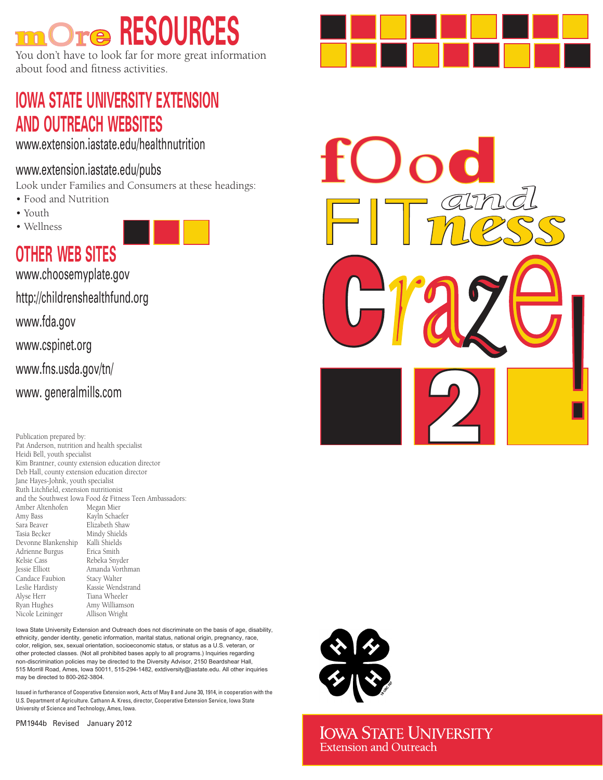# mOre **RESOURCES**

You don't have to look far for more great information about food and fitness activities.

# **IOWA STATE UNIVERSITY EXTENSION AND OUTREACH WEBSITES**

<www.extension.iastate.edu/healthnutrition>

## [www.extension.iastate.edu/pubs](https://store.extension.iastate.edu/default)

Look under Families and Consumers at these headings:

- Food and Nutrition
- Youth
- Wellness



**OTHER WEB SITES**

[www.choosemyplate.gov](https://www.choosemyplate.gov)

[http://childrenshealthfund.org](https://www.childrenshealthfund.org)

[www.fda.gov](https://www.fda.gov)

[www.cspinet.org](https://cspinet.org)

[www.fns.usda.gov/tn/](https://www.fns.usda.gov/tn)

[www. generalmills.com](https://www.generalmills.com)

Publication prepared by: Pat Anderson, nutrition and health specialist Heidi Bell, youth specialist Kim Brantner, county extension education director Deb Hall, county extension education director Jane Hayes-Johnk, youth specialist Ruth Litchfield, extension nutritionist and the Southwest Iowa Food & Fitness Teen Ambassadors: Amber Altenhofen Megan Mier<br>Amy Bass Kavln Schae Amy Bass Kayln Schaefer<br>
Sara Beaver Elizabeth Shaw Sara Beaver<br>
Tasia Becker<br>
Tasia Becker<br>
Mindy Shields Mindy Shields Devonne Blankenship Kalli Shields Adrienne Burgus Kelsie Cass Rebeka Snyder Amanda Vorthman<br>Stacy Walter Candace Faubion Leslie Hardisty<br>
Alyse Herr<br>
Tiana Wheeler Tiana Wheeler Ryan Hughes Amy Williamson<br>Nicole Leininger Allison Wright Nicole Leininger

Iowa State University Extension and Outreach does not discriminate on the basis of age, disability, ethnicity, gender identity, genetic information, marital status, national origin, pregnancy, race, color, religion, sex, sexual orientation, socioeconomic status, or status as a U.S. veteran, or other protected classes. (Not all prohibited bases apply to all programs.) Inquiries regarding non-discrimination policies may be directed to the Diversity Advisor, 2150 Beardshear Hall, 515 Morrill Road, Ames, Iowa 50011, 515-294-1482, [extdiversity@iastate.edu.](mailto:extdiversity@iastate.edu) All other inquiries may be directed to 800-262-3804.

Issued in furtherance of Cooperative Extension work, Acts of May 8 and June 30, 1914, in cooperation with the U.S. Department of Agriculture. Cathann A. Kress, director, Cooperative Extension Service, Iowa State University of Science and Technology, Ames, Iowa.

PM1944b Revised January 2012



C fOod FIT*ness and r*a*z*e 2 !



**IOWA STATE UNIVERSITY Extension and Outreach**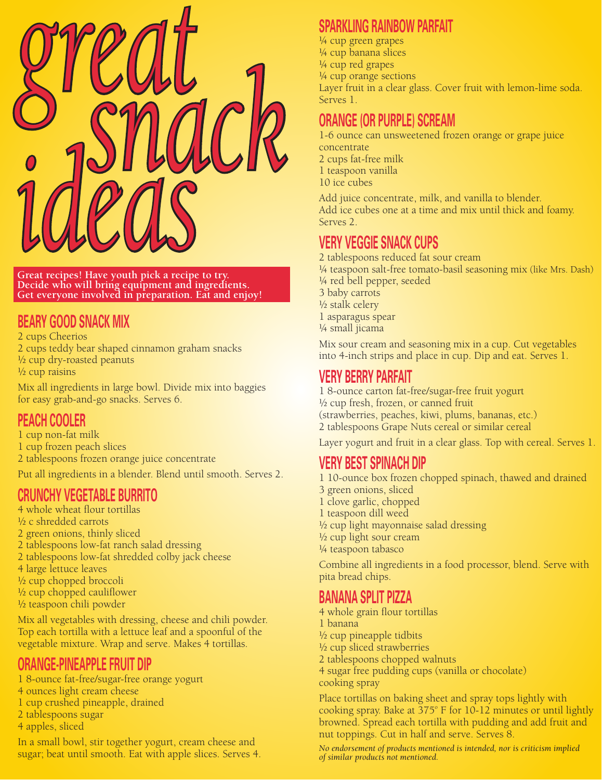

**Great recipes! Have youth pick a recipe to try. Decide who will bring equipment and ingredients. Get everyone involved in preparation. Eat and enjoy!**

## **BEARY GOOD SNACK MIX**

2 cups Cheerios 2 cups teddy bear shaped cinnamon graham snacks ½ cup dry-roasted peanuts  $\frac{1}{2}$  cup raisins

Mix all ingredients in large bowl. Divide mix into baggies for easy grab-and-go snacks. Serves 6.

## **PEACH COOLER**

- 1 cup non-fat milk
- 1 cup frozen peach slices
- 2 tablespoons frozen orange juice concentrate

Put all ingredients in a blender. Blend until smooth. Serves 2.

## **CRUNCHY VEGETABLE BURRITO**

- 4 whole wheat flour tortillas ½ c shredded carrots 2 green onions, thinly sliced 2 tablespoons low-fat ranch salad dressing 2 tablespoons low-fat shredded colby jack cheese 4 large lettuce leaves ½ cup chopped broccoli
- ½ cup chopped cauliflower
- ½ teaspoon chili powder

Mix all vegetables with dressing, cheese and chili powder. Top each tortilla with a lettuce leaf and a spoonful of the vegetable mixture. Wrap and serve. Makes 4 tortillas.

## **ORANGE-PINEAPPLE FRUIT DIP**

- 1 8-ounce fat-free/sugar-free orange yogurt
- 4 ounces light cream cheese
- 1 cup crushed pineapple, drained
- 2 tablespoons sugar
- 4 apples, sliced

In a small bowl, stir together yogurt, cream cheese and sugar; beat until smooth. Eat with apple slices. Serves 4.

## **SPARKLING RAINBOW PARFAIT**

¼ cup green grapes ¼ cup banana slices ¼ cup red grapes ¼ cup orange sections Layer fruit in a clear glass. Cover fruit with lemon-lime soda. Serves 1.

## **ORANGE (OR PURPLE) SCREAM**

1-6 ounce can unsweetened frozen orange or grape juice concentrate 2 cups fat-free milk 1 teaspoon vanilla 10 ice cubes

Add juice concentrate, milk, and vanilla to blender. Add ice cubes one at a time and mix until thick and foamy. Serves 2.

## **VERY VEGGIE SNACK CUPS**

2 tablespoons reduced fat sour cream ¼ teaspoon salt-free tomato-basil seasoning mix (like Mrs. Dash) ¼ red bell pepper, seeded 3 baby carrots ½ stalk celery 1 asparagus spear ¼ small jicama

Mix sour cream and seasoning mix in a cup. Cut vegetables into 4-inch strips and place in cup. Dip and eat. Serves 1.

## **VERY BERRY PARFAIT**

1 8-ounce carton fat-free/sugar-free fruit yogurt ½ cup fresh, frozen, or canned fruit (strawberries, peaches, kiwi, plums, bananas, etc.) 2 tablespoons Grape Nuts cereal or similar cereal

Layer yogurt and fruit in a clear glass. Top with cereal. Serves 1.

## **VERY BEST SPINACH DIP**

1 10-ounce box frozen chopped spinach, thawed and drained

- 3 green onions, sliced
- 1 clove garlic, chopped
- 1 teaspoon dill weed
- $\frac{1}{2}$  cup light mayonnaise salad dressing
- ½ cup light sour cream
- ¼ teaspoon tabasco

Combine all ingredients in a food processor, blend. Serve with pita bread chips.

## **BANANA SPLIT PIZZA**

4 whole grain flour tortillas

- 1 banana
- ½ cup pineapple tidbits
- ½ cup sliced strawberries
- 2 tablespoons chopped walnuts
- 4 sugar free pudding cups (vanilla or chocolate)
- cooking spray

Place tortillas on baking sheet and spray tops lightly with cooking spray. Bake at  $375^{\circ}$  F for 10-12 minutes or until lightly browned. Spread each tortilla with pudding and add fruit and nut toppings. Cut in half and serve. Serves 8.

*No endorsement of products mentioned is intended, nor is criticism implied of similar products not mentioned.*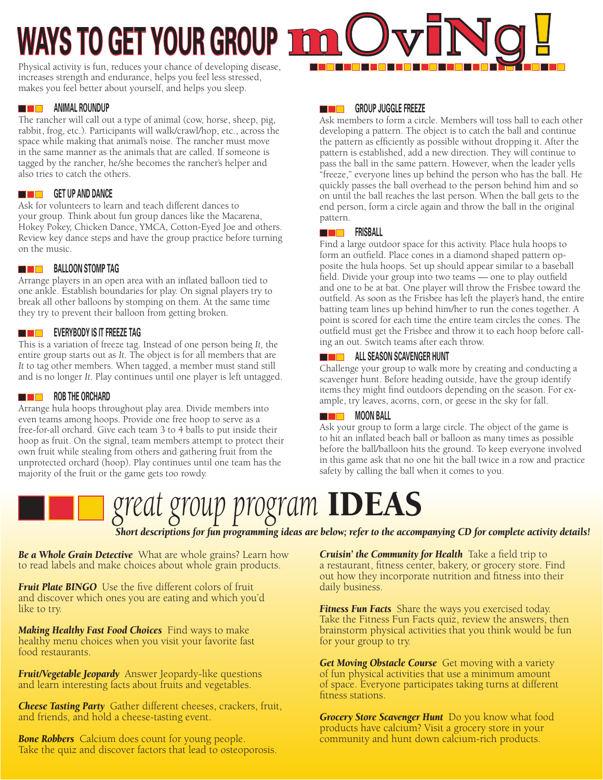# **WAYS TO GET YOUR GROUP 1**

Physical activity is fun, reduces your chance of developing disease, increases strength and endurance, helps you feel less stressed, makes you feel better about yourself, and helps you sleep.

#### **ANIMAL ROUNDUP** <u> Die Br</u>

The rancher will call out a type of animal (cow, horse, sheep, pig, rabbit, frog, etc.). Participants will walk/crawl/hop, etc., across the space while making that animal's noise. The rancher must move in the same manner as the animals that are called. If someone is tagged by the rancher, he/she becomes the rancher's helper and also tries to catch the others.

### **GET UP AND DANCE**

Ask for volunteers to learn and teach different dances to your group. Think about fun group dances like the Macarena, Hokey Pokey, Chicken Dance, YMCA, Cotton-Eyed Joe and others. Review key dance steps and have the group practice before turning on the music.

## **BALLOON STOMP TAG**

Arrange players in an open area with an inflated balloon tied to one ankle. Establish boundaries for play. On signal players try to break all other balloons by stomping on them. At the same time they try to prevent their balloon from getting broken.

## **EVERYBODY IS IT FREEZE TAG**

This is a variation of freeze tag. Instead of one person being *It,* the entire group starts out as *It*. The object is for all members that are *It* to tag other members. When tagged, a member must stand still and is no longer *It*. Play continues until one player is left untagged.

#### **ROB THE ORCHARD** <u>ra mats</u>

Arrange hula hoops throughout play area. Divide members into even teams among hoops. Provide one free hoop to serve as a free-for-all orchard. Give each team 3 to 4 balls to put inside their hoop as fruit. On the signal, team members attempt to protect their own fruit while stealing from others and gathering fruit from the unprotected orchard (hoop). Play continues until one team has the majority of the fruit or the game gets too rowdy.

#### **GROUP JUGGLE FREEZE** <u> De Br</u>

Ask members to form a circle. Members will toss ball to each other developing a pattern. The object is to catch the ball and continue the pattern as efficiently as possible without dropping it. After the pattern is established, add a new direction. They will continue to pass the ball in the same pattern. However, when the leader yells "freeze," everyone lines up behind the person who has the ball. He quickly passes the ball overhead to the person behind him and so on until the ball reaches the last person. When the ball gets to the end person, form a circle again and throw the ball in the original pattern.

### **FRISBALL**

Find a large outdoor space for this activity. Place hula hoops to form an outfield. Place cones in a diamond shaped pattern opposite the hula hoops. Set up should appear similar to a baseball field. Divide your group into two teams — one to play outfield and one to be at bat. One player will throw the Frisbee toward the outfield. As soon as the Frisbee has left the player's hand, the entire batting team lines up behind him/her to run the cones together. A point is scored for each time the entire team circles the cones. The outfield must get the Frisbee and throw it to each hoop before calling an out. Switch teams after each throw.

### **ALL SEASON SCAVENGER HUNT**

Challenge your group to walk more by creating and conducting a scavenger hunt. Before heading outside, have the group identify items they might find outdoors depending on the season. For example, try leaves, acorns, corn, or geese in the sky for fall.

### **MOON BALL**

Ask your group to form a large circle. The object of the game is to hit an inflated beach ball or balloon as many times as possible before the ball/balloon hits the ground. To keep everyone involved in this game ask that no one hit the ball twice in a row and practice safety by calling the ball when it comes to you.

# *great group program* IDEAS  *Short descriptions for fun programming ideas are below; refer to the accompanying CD for complete activity details!*

*Be a Whole Grain Detective* What are whole grains? Learn how to read labels and make choices about whole grain products.

*Fruit Plate BINGO* Use the five different colors of fruit and discover which ones you are eating and which you'd like to try.

*Making Healthy Fast Food Choices* Find ways to make healthy menu choices when you visit your favorite fast food restaurants.

*Fruit/Vegetable Jeopardy* Answer Jeopardy-like questions and learn interesting facts about fruits and vegetables.

*Cheese Tasting Party* Gather different cheeses, crackers, fruit, and friends, and hold a cheese-tasting event.

**Bone Robbers** Calcium does count for young people. Take the quiz and discover factors that lead to osteoporosis. *Cruisin' the Community for Health* Take a field trip to a restaurant, fitness center, bakery, or grocery store. Find out how they incorporate nutrition and fitness into their daily business.

*Fitness Fun Facts* Share the ways you exercised today. Take the Fitness Fun Facts quiz, review the answers, then brainstorm physical activities that you think would be fun for your group to try.

*Get Moving Obstacle Course* Get moving with a variety of fun physical activities that use a minimum amount of space. Everyone participates taking turns at different fitness stations.

*Grocery Store Scavenger Hunt* Do you know what food products have calcium? Visit a grocery store in your community and hunt down calcium-rich products.